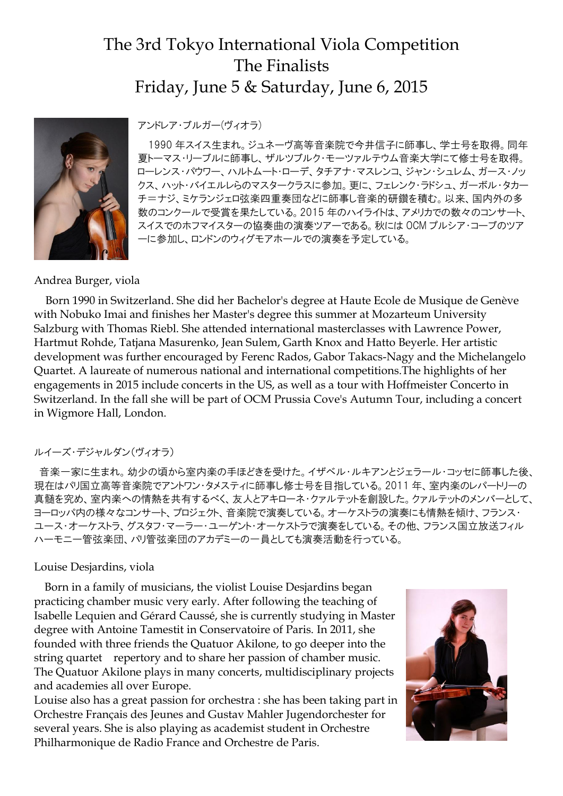# The 3rd Tokyo International Viola Competition The Finalists Friday, June 5 & Saturday, June 6, 2015



アンドレア・ブルガー(ヴィオラ)

1990 年スイス生まれ。ジュネーヴ高等音楽院で今井信子に師事し、学士号を取得。同年 夏トーマス・リーブルに師事し、ザルツブルク・モーツァルテウム音楽大学にて修士号を取得。 ローレンス・パウワー、ハルトムート・ローデ、タチアナ・マスレンコ、ジャン・シュレム、ガース・ノッ クス、ハット・バイエルレらのマスタークラスに参加。更に、フェレンク・ラドシュ、ガーボル・タカー チ=ナジ、ミケランジェロ弦楽四重奏団などに師事し音楽的研鑽を積む。以来、国内外の多 数のコンクールで受賞を果たしている。2015 年のハイライトは、アメリカでの数々のコンサート、 スイスでのホフマイスターの協奏曲の演奏ツアーである。秋には OCM プルシア・コーブのツア ーに参加し、ロンドンのウィグモアホールでの演奏を予定している。

## Andrea Burger, viola

Born 1990 in Switzerland. She did her Bachelor's degree at Haute Ecole de Musique de Genève with Nobuko Imai and finishes her Master's degree this summer at Mozarteum University Salzburg with Thomas Riebl. She attended international masterclasses with Lawrence Power, Hartmut Rohde, Tatjana Masurenko, Jean Sulem, Garth Knox and Hatto Beyerle. Her artistic development was further encouraged by Ferenc Rados, Gabor Takacs-Nagy and the Michelangelo Quartet. A laureate of numerous national and international competitions.The highlights of her engagements in 2015 include concerts in the US, as well as a tour with Hoffmeister Concerto in Switzerland. In the fall she will be part of OCM Prussia Cove's Autumn Tour, including a concert in Wigmore Hall, London.

## ルイーズ・デジャルダン(ヴィオラ)

音楽一家に生まれ。幼少の頃から室内楽の手ほどきを受けた。イザベル・ルキアンとジェラール・コッセに師事した後、 現在はパリ国立高等音楽院でアントワン・タメスティに師事し修士号を目指している。2011 年、室内楽のレパートリーの 真髄を究め、室内楽への情熱を共有するべく、友人とアキローネ・クァルテットを創設した。クァルテットのメンバーとして、 ヨーロッパ内の様々なコンサート、プロジェクト、音楽院で演奏している。オーケストラの演奏にも情熱を傾け、フランス・ ユース・オーケストラ、グスタフ・マーラー・ユーゲント・オーケストラで演奏をしている。その他、フランス国立放送フィル ハーモニー管弦楽団、パリ管弦楽団のアカデミーの一員としても演奏活動を行っている。

## Louise Desjardins, viola

Born in a family of musicians, the violist Louise Desjardins began practicing chamber music very early. After following the teaching of Isabelle Lequien and Gérard Caussé, she is currently studying in Master degree with Antoine Tamestit in Conservatoire of Paris. In 2011, she founded with three friends the Quatuor Akilone, to go deeper into the string quartet repertory and to share her passion of chamber music. The Quatuor Akilone plays in many concerts, multidisciplinary projects and academies all over Europe.

Louise also has a great passion for orchestra : she has been taking part in Orchestre Français des Jeunes and Gustav Mahler Jugendorchester for several years. She is also playing as academist student in Orchestre Philharmonique de Radio France and Orchestre de Paris.